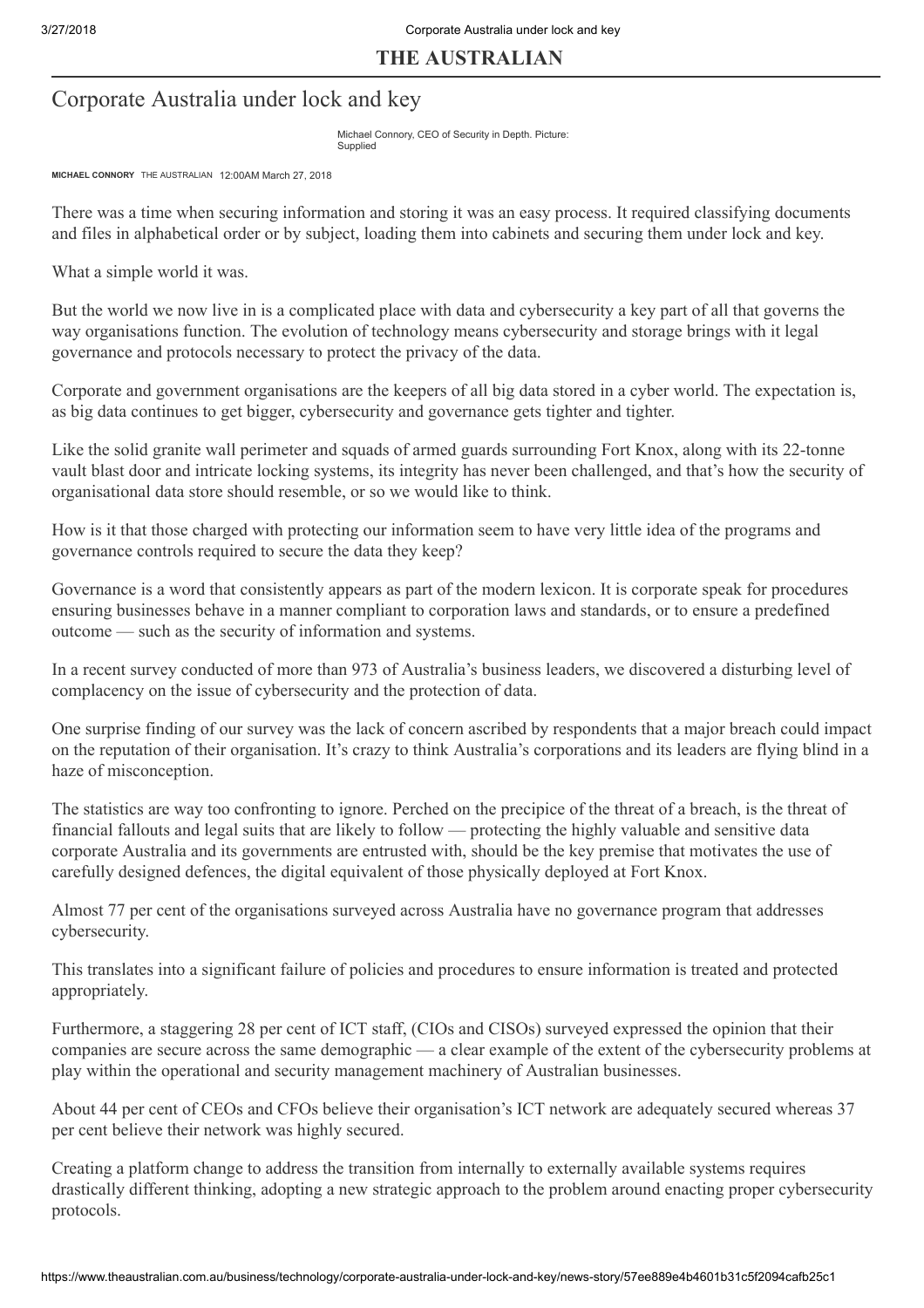### THE AUSTRALIAN

## Corporate Australia under lock and key

Michael Connory, CEO of Security in Depth. Picture: Supplied

MICHAEL CONNORY THE AUSTRALIAN 12:00AM March 27, 2018

There was a time when securing information and storing it was an easy process. It required classifying documents and files in alphabetical order or by subject, loading them into cabinets and securing them under lock and key.

What a simple world it was.

But the world we now live in is a complicated place with data and cybersecurity a key part of all that governs the way organisations function. The evolution of technology means cybersecurity and storage brings with it legal governance and protocols necessary to protect the privacy of the data.

Corporate and government organisations are the keepers of all big data stored in a cyber world. The expectation is, as big data continues to get bigger, cybersecurity and governance gets tighter and tighter.

Like the solid granite wall perimeter and squads of armed guards surrounding Fort Knox, along with its 22-tonne vault blast door and intricate locking systems, its integrity has never been challenged, and that's how the security of organisational data store should resemble, or so we would like to think.

How is it that those charged with protecting our information seem to have very little idea of the programs and governance controls required to secure the data they keep?

Governance is a word that consistently appears as part of the modern lexicon. It is corporate speak for procedures ensuring businesses behave in a manner compliant to corporation laws and standards, or to ensure a predefined outcome — such as the security of information and systems.

In a recent survey conducted of more than 973 of Australia's business leaders, we discovered a disturbing level of complacency on the issue of cybersecurity and the protection of data.

One surprise finding of our survey was the lack of concern ascribed by respondents that a major breach could impact on the reputation of their organisation. It's crazy to think Australia's corporations and its leaders are flying blind in a haze of misconception.

The statistics are way too confronting to ignore. Perched on the precipice of the threat of a breach, is the threat of financial fallouts and legal suits that are likely to follow — protecting the highly valuable and sensitive data corporate Australia and its governments are entrusted with, should be the key premise that motivates the use of carefully designed defences, the digital equivalent of those physically deployed at Fort Knox.

Almost 77 per cent of the organisations surveyed across Australia have no governance program that addresses cybersecurity.

This translates into a significant failure of policies and procedures to ensure information is treated and protected appropriately.

Furthermore, a staggering 28 per cent of ICT staff, (CIOs and CISOs) surveyed expressed the opinion that their companies are secure across the same demographic — a clear example of the extent of the cybersecurity problems at play within the operational and security management machinery of Australian businesses.

About 44 per cent of CEOs and CFOs believe their organisation's ICT network are adequately secured whereas 37 per cent believe their network was highly secured.

Creating a platform change to address the transition from internally to externally available systems requires drastically different thinking, adopting a new strategic approach to the problem around enacting proper cybersecurity protocols.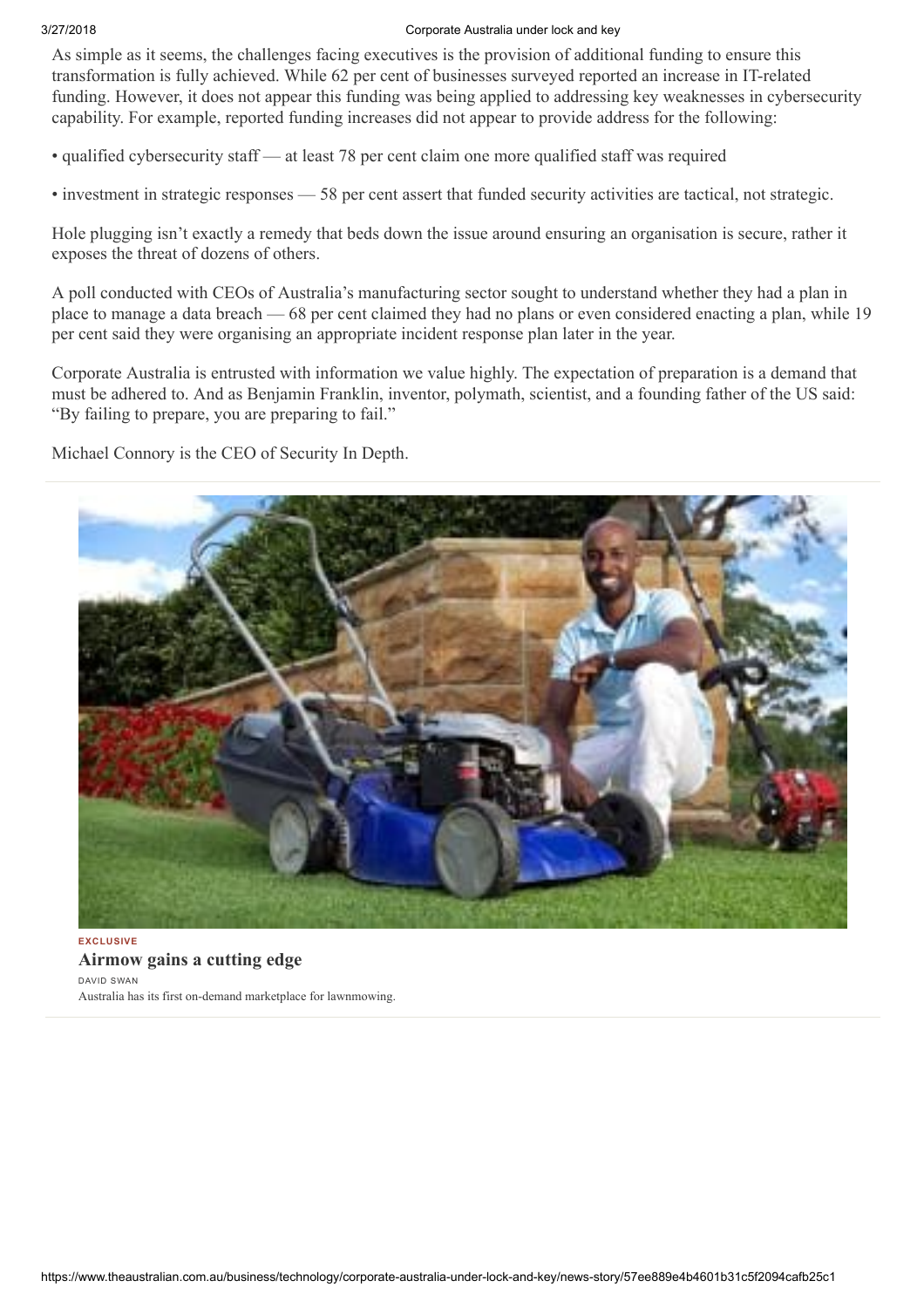#### 3/27/2018 Corporate Australia under lock and key

As simple as it seems, the challenges facing executives is the provision of additional funding to ensure this transformation is fully achieved. While 62 per cent of businesses surveyed reported an increase in IT-related funding. However, it does not appear this funding was being applied to addressing key weaknesses in cybersecurity capability. For example, reported funding increases did not appear to provide address for the following:

- qualified cybersecurity staff at least 78 per cent claim one more qualified staff was required
- investment in strategic responses 58 per cent assert that funded security activities are tactical, not strategic.

Hole plugging isn't exactly a remedy that beds down the issue around ensuring an organisation is secure, rather it exposes the threat of dozens of others.

A poll conducted with CEOs of Australia's manufacturing sector sought to understand whether they had a plan in place to manage a data breach — 68 per cent claimed they had no plans or even considered enacting a plan, while 19 per cent said they were organising an appropriate incident response plan later in the year.

Corporate Australia is entrusted with information we value highly. The expectation of preparation is a demand that must be adhered to. And as Benjamin Franklin, inventor, polymath, scientist, and a founding father of the US said: "By failing to prepare, you are preparing to fail."

Michael Connory is the CEO of Security In Depth.



[Airmow gains a cutting edge](http://www.theaustralian.com.au/business/technology/birds-eye-view-puts-airmow-on-cutting-edge-of-contracting/news-story/5734659c3b33cde2db8b46de851b2b61?link=TD_www.theaustralian_all_business_.128cf7dc74979def&utm_source=www.theaustralian_all_business_.128cf7dc74979def&utm_campaign=circular&utm_medium=THEAUSTRALIAN) DAVID SWAN Australia has its first on-demand marketplace for lawnmowing.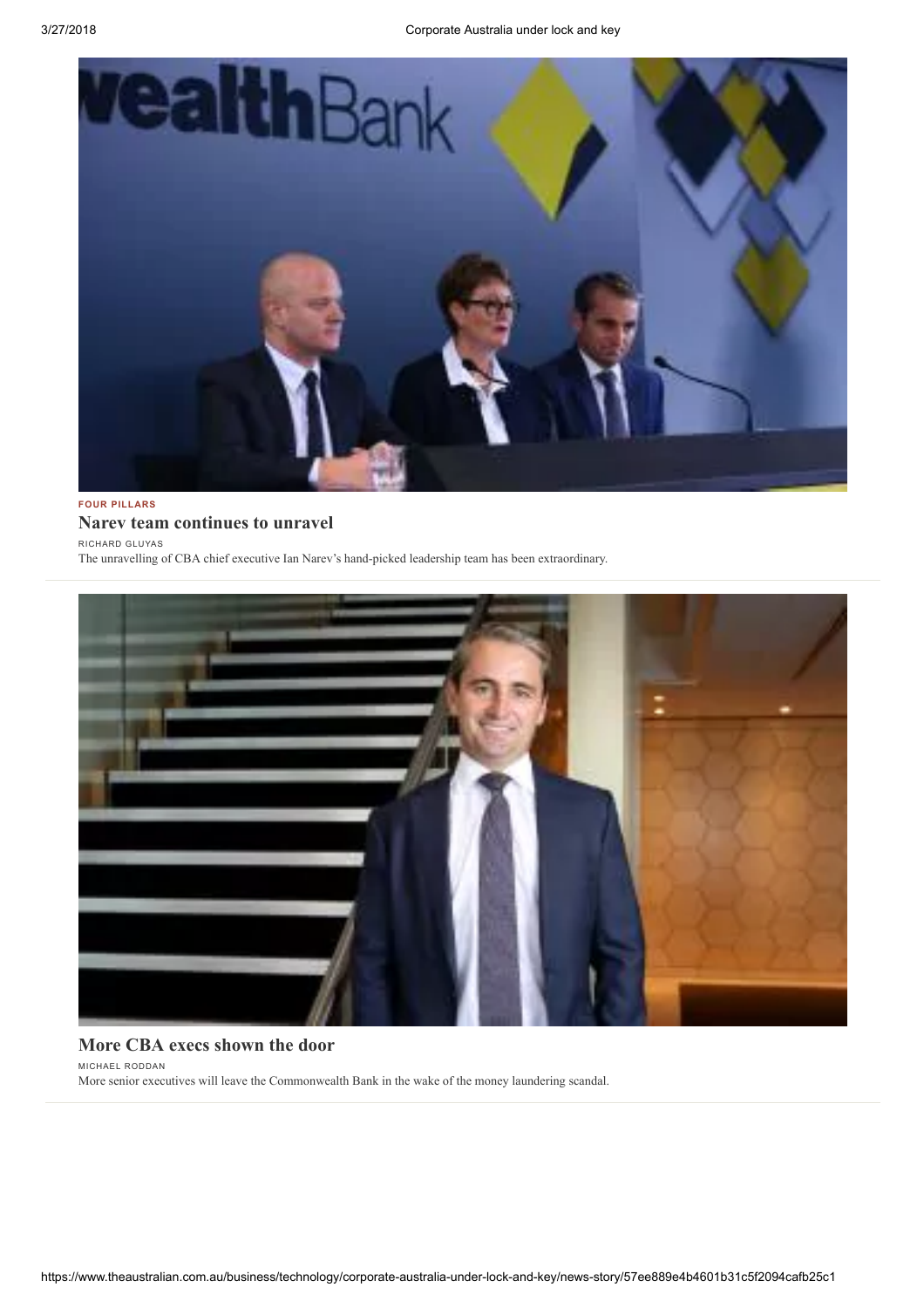

#### FOUR PILLARS [Narev team continues to unravel](http://www.theaustralian.com.au/business/opinion/richard-gluyas-banking/narevs-leadership-team-continues-to-unravel/news-story/565565a8870027ab3947143d26bdb117?link=TD_www.theaustralian_all_business_.128cf7dc74979def&utm_source=www.theaustralian_all_business_.128cf7dc74979def&utm_campaign=circular&utm_medium=THEAUSTRALIAN)

RICHARD GLUYAS

The unravelling of CBA chief executive Ian Narev's hand-picked leadership team has been extraordinary.



#### [More CBA execs shown the door](http://www.theaustralian.com.au/business/financial-services/bloodletting-continues-for-cbas-executive-team/news-story/84d34a8c4f35ca4a9dfe8b7c7a786d1b?link=TD_www.theaustralian_all_business_.128cf7dc74979def&utm_source=www.theaustralian_all_business_.128cf7dc74979def&utm_campaign=circular&utm_medium=THEAUSTRALIAN)

MICHAEL RODDAN

More senior executives will leave the Commonwealth Bank in the wake of the money laundering scandal.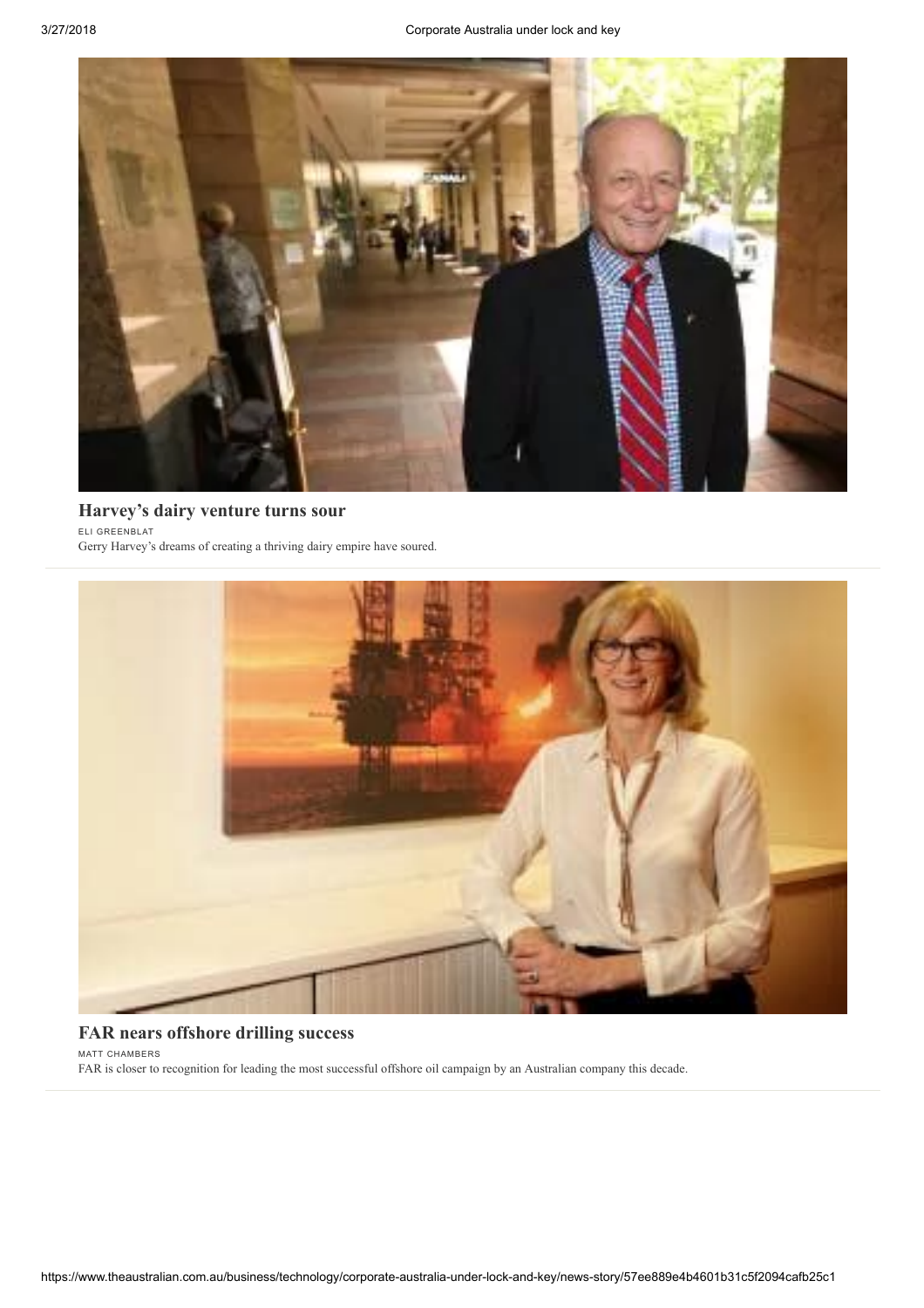

# [Harvey's dairy venture turns sour](http://www.theaustralian.com.au/business/gerrys-dairy-diversification-hits-a-dead-end/news-story/142e6c43e554ded8058b501b3a723d53?link=TD_www.theaustralian_all_business_.128cf7dc74979def&utm_source=www.theaustralian_all_business_.128cf7dc74979def&utm_campaign=circular&utm_medium=THEAUSTRALIAN)

ELI GREENBLAT

Gerry Harvey's dreams of creating a thriving dairy empire have soured.



## [FAR nears offshore drilling success](http://www.theaustralian.com.au/business/mining-energy/far-nears-offshore-drilling-success/news-story/40e4e6ff5d865c60560ebdcc76f47503?link=TD_www.theaustralian_all_business_.128cf7dc74979def&utm_source=www.theaustralian_all_business_.128cf7dc74979def&utm_campaign=circular&utm_medium=THEAUSTRALIAN)

MATT CHAMBERS

FAR is closer to recognition for leading the most successful offshore oil campaign by an Australian company this decade.